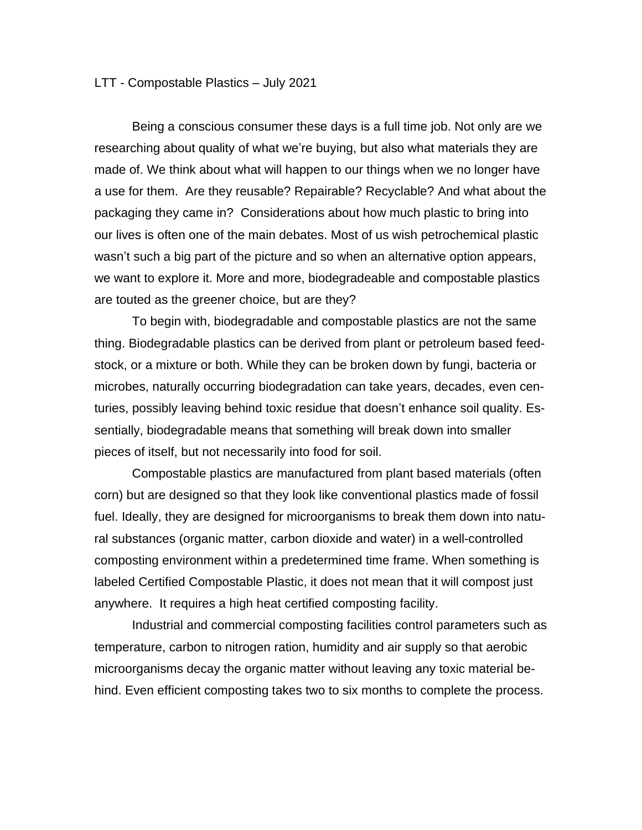## LTT - Compostable Plastics – July 2021

Being a conscious consumer these days is a full time job. Not only are we researching about quality of what we're buying, but also what materials they are made of. We think about what will happen to our things when we no longer have a use for them. Are they reusable? Repairable? Recyclable? And what about the packaging they came in? Considerations about how much plastic to bring into our lives is often one of the main debates. Most of us wish petrochemical plastic wasn't such a big part of the picture and so when an alternative option appears, we want to explore it. More and more, biodegradeable and compostable plastics are touted as the greener choice, but are they?

To begin with, biodegradable and compostable plastics are not the same thing. Biodegradable plastics can be derived from plant or petroleum based feedstock, or a mixture or both. While they can be broken down by fungi, bacteria or microbes, naturally occurring biodegradation can take years, decades, even centuries, possibly leaving behind toxic residue that doesn't enhance soil quality. Essentially, biodegradable means that something will break down into smaller pieces of itself, but not necessarily into food for soil.

Compostable plastics are manufactured from plant based materials (often corn) but are designed so that they look like conventional plastics made of fossil fuel. Ideally, they are designed for microorganisms to break them down into natural substances (organic matter, carbon dioxide and water) in a well-controlled composting environment within a predetermined time frame. When something is labeled Certified Compostable Plastic, it does not mean that it will compost just anywhere. It requires a high heat certified composting facility.

Industrial and commercial composting facilities control parameters such as temperature, carbon to nitrogen ration, humidity and air supply so that aerobic microorganisms decay the organic matter without leaving any toxic material behind. Even efficient composting takes two to six months to complete the process.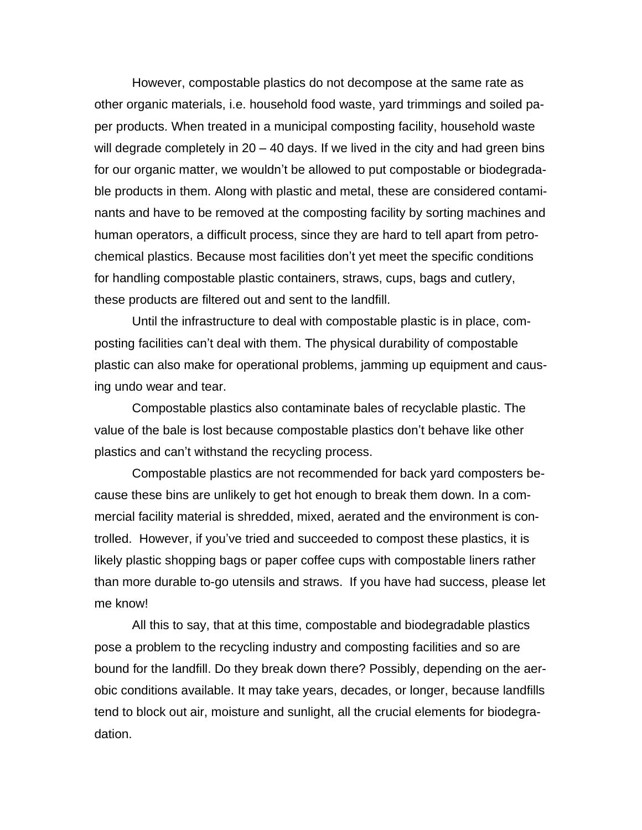However, compostable plastics do not decompose at the same rate as other organic materials, i.e. household food waste, yard trimmings and soiled paper products. When treated in a municipal composting facility, household waste will degrade completely in 20 – 40 days. If we lived in the city and had green bins for our organic matter, we wouldn't be allowed to put compostable or biodegradable products in them. Along with plastic and metal, these are considered contaminants and have to be removed at the composting facility by sorting machines and human operators, a difficult process, since they are hard to tell apart from petrochemical plastics. Because most facilities don't yet meet the specific conditions for handling compostable plastic containers, straws, cups, bags and cutlery, these products are filtered out and sent to the landfill.

Until the infrastructure to deal with compostable plastic is in place, composting facilities can't deal with them. The physical durability of compostable plastic can also make for operational problems, jamming up equipment and causing undo wear and tear.

Compostable plastics also contaminate bales of recyclable plastic. The value of the bale is lost because compostable plastics don't behave like other plastics and can't withstand the recycling process.

Compostable plastics are not recommended for back yard composters because these bins are unlikely to get hot enough to break them down. In a commercial facility material is shredded, mixed, aerated and the environment is controlled. However, if you've tried and succeeded to compost these plastics, it is likely plastic shopping bags or paper coffee cups with compostable liners rather than more durable to-go utensils and straws. If you have had success, please let me know!

All this to say, that at this time, compostable and biodegradable plastics pose a problem to the recycling industry and composting facilities and so are bound for the landfill. Do they break down there? Possibly, depending on the aerobic conditions available. It may take years, decades, or longer, because landfills tend to block out air, moisture and sunlight, all the crucial elements for biodegradation.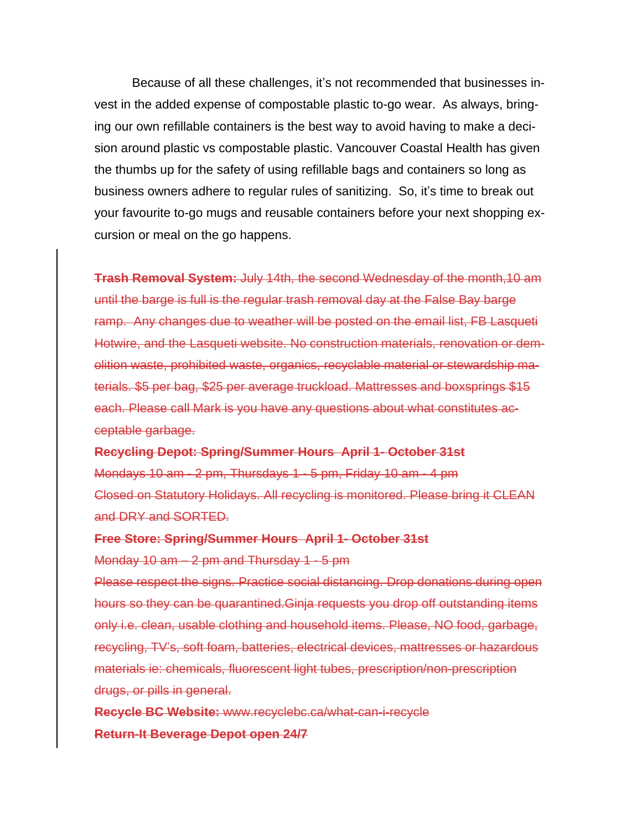Because of all these challenges, it's not recommended that businesses invest in the added expense of compostable plastic to-go wear. As always, bringing our own refillable containers is the best way to avoid having to make a decision around plastic vs compostable plastic. Vancouver Coastal Health has given the thumbs up for the safety of using refillable bags and containers so long as business owners adhere to regular rules of sanitizing. So, it's time to break out your favourite to-go mugs and reusable containers before your next shopping excursion or meal on the go happens.

**Trash Removal System:** July 14th, the second Wednesday of the month,10 am until the barge is full is the regular trash removal day at the False Bay barge ramp. Any changes due to weather will be posted on the email list, FB Lasqueti Hotwire, and the Lasqueti website. No construction materials, renovation or demolition waste, prohibited waste, organics, recyclable material or stewardship materials. \$5 per bag, \$25 per average truckload. Mattresses and boxsprings \$15 each. Please call Mark is you have any questions about what constitutes acceptable garbage.

**Recycling Depot: Spring/Summer Hours April 1- October 31st** Mondays 10 am - 2 pm, Thursdays 1 - 5 pm, Friday 10 am - 4 pm Closed on Statutory Holidays. All recycling is monitored. Please bring it CLEAN and DRY and SORTED.

**Free Store: Spring/Summer Hours April 1- October 31st** Monday 10 am – 2 pm and Thursday 1 - 5 pm

Please respect the signs. Practice social distancing. Drop donations during open hours so they can be quarantined.Ginja requests you drop off outstanding items only i.e. clean, usable clothing and household items. Please, NO food, garbage, recycling, TV's, soft foam, batteries, electrical devices, mattresses or hazardous materials ie: chemicals, fluorescent light tubes, prescription/non-prescription drugs, or pills in general.

**Recycle BC Website:** www.recyclebc.ca/what-can-i-recycle **Return-It Beverage Depot open 24/7**